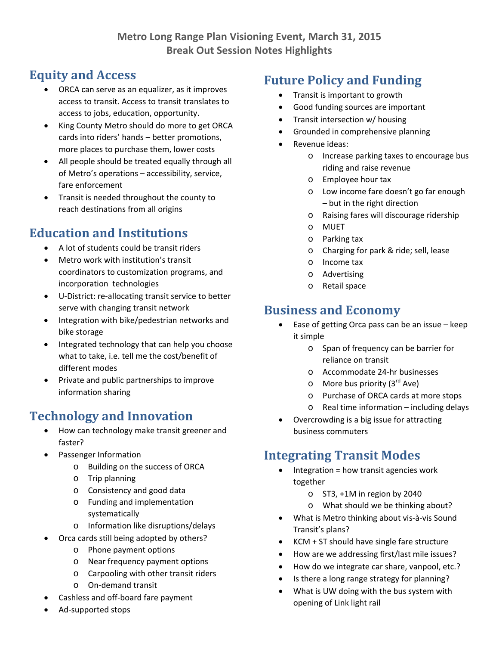# **Equity and Access**

- ORCA can serve as an equalizer, as it improves access to transit. Access to transit translates to access to jobs, education, opportunity.
- King County Metro should do more to get ORCA cards into riders' hands – better promotions, more places to purchase them, lower costs
- All people should be treated equally through all of Metro's operations – accessibility, service, fare enforcement
- Transit is needed throughout the county to reach destinations from all origins

# **Education and Institutions**

- A lot of students could be transit riders
- Metro work with institution's transit coordinators to customization programs, and incorporation technologies
- U-District: re-allocating transit service to better serve with changing transit network
- Integration with bike/pedestrian networks and bike storage
- Integrated technology that can help you choose what to take, i.e. tell me the cost/benefit of different modes
- Private and public partnerships to improve information sharing

# **Technology and Innovation**

- How can technology make transit greener and faster?
- Passenger Information
	- o Building on the success of ORCA
	- o Trip planning
	- o Consistency and good data
	- o Funding and implementation systematically
	- o Information like disruptions/delays
- Orca cards still being adopted by others?
	- o Phone payment options
	- o Near frequency payment options
	- o Carpooling with other transit riders
	- o On‐demand transit
- Cashless and off‐board fare payment
- Ad‐supported stops

# **Future Policy and Funding**

- Transit is important to growth
- Good funding sources are important
- Transit intersection w/ housing
- Grounded in comprehensive planning
- Revenue ideas:
	- o Increase parking taxes to encourage bus riding and raise revenue
	- o Employee hour tax
	- o Low income fare doesn't go far enough – but in the right direction
	- o Raising fares will discourage ridership
	- o MUET
	- o Parking tax
	- o Charging for park & ride; sell, lease
	- o Income tax
	- o Advertising
	- o Retail space

# **Business and Economy**

- Ease of getting Orca pass can be an issue keep it simple
	- o Span of frequency can be barrier for reliance on transit
	- o Accommodate 24‐hr businesses
	- $\circ$  More bus priority (3<sup>rd</sup> Ave)
	- o Purchase of ORCA cards at more stops
	- o Real time information including delays
- Overcrowding is a big issue for attracting business commuters

# **Integrating Transit Modes**

- Integration = how transit agencies work together
	- o ST3, +1M in region by 2040
	- o What should we be thinking about?
- What is Metro thinking about vis‐à‐vis Sound Transit's plans?
- KCM + ST should have single fare structure
- How are we addressing first/last mile issues?
- How do we integrate car share, vanpool, etc.?
- Is there a long range strategy for planning?
- What is UW doing with the bus system with opening of Link light rail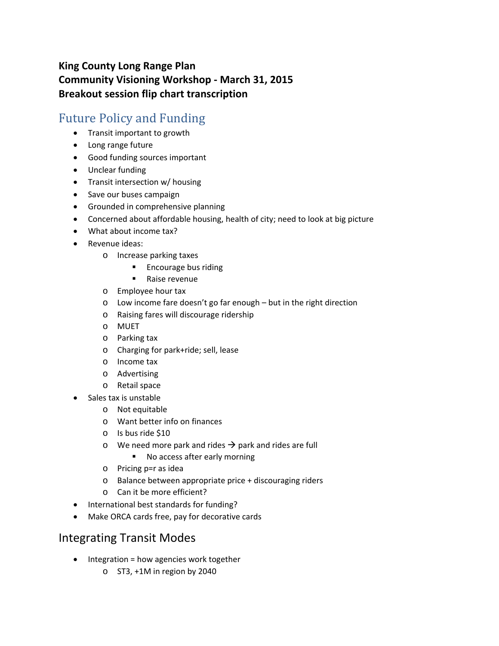### **King County Long Range Plan Community Visioning Workshop ‐ March 31, 2015 Breakout session flip chart transcription**

## Future Policy and Funding

- Transit important to growth
- Long range future
- Good funding sources important
- Unclear funding
- Transit intersection w/ housing
- Save our buses campaign
- Grounded in comprehensive planning
- Concerned about affordable housing, health of city; need to look at big picture
- What about income tax?
- Revenue ideas:
	- o Increase parking taxes
		- **Encourage bus riding**
		- Raise revenue
	- o Employee hour tax
	- o Low income fare doesn't go far enough but in the right direction
	- o Raising fares will discourage ridership
	- o MUET
	- o Parking tax
	- o Charging for park+ride; sell, lease
	- o Income tax
	- o Advertising
	- o Retail space
- Sales tax is unstable
	- o Not equitable
	- o Want better info on finances
	- o Is bus ride \$10
	- $\circ$  We need more park and rides  $\rightarrow$  park and rides are full
		- **No access after early morning**
	- o Pricing p=r as idea
	- o Balance between appropriate price + discouraging riders
	- o Can it be more efficient?
- International best standards for funding?
- Make ORCA cards free, pay for decorative cards

## Integrating Transit Modes

- $\bullet$  Integration = how agencies work together
	- o ST3, +1M in region by 2040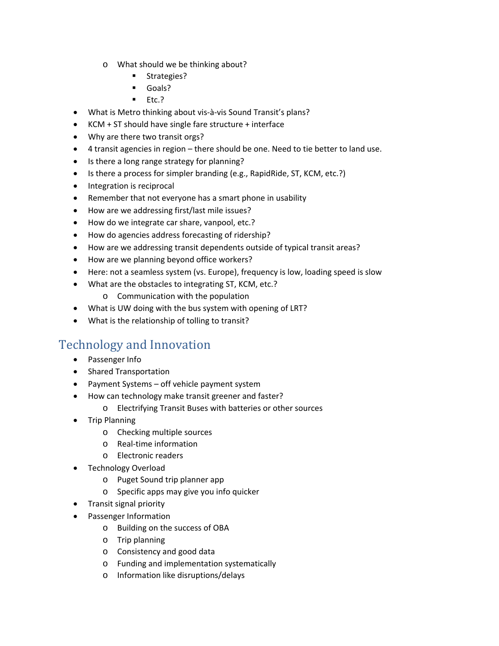- o What should we be thinking about?
	- **Strategies?**
	- **Goals?**
	- $Etc.$
- What is Metro thinking about vis‐à‐vis Sound Transit's plans?
- KCM + ST should have single fare structure + interface
- Why are there two transit orgs?
- 4 transit agencies in region there should be one. Need to tie better to land use.
- Is there a long range strategy for planning?
- Is there a process for simpler branding (e.g., RapidRide, ST, KCM, etc.?)
- Integration is reciprocal
- Remember that not everyone has a smart phone in usability
- How are we addressing first/last mile issues?
- How do we integrate car share, vanpool, etc.?
- How do agencies address forecasting of ridership?
- How are we addressing transit dependents outside of typical transit areas?
- How are we planning beyond office workers?
- Here: not a seamless system (vs. Europe), frequency is low, loading speed is slow
- What are the obstacles to integrating ST, KCM, etc.?
	- o Communication with the population
- What is UW doing with the bus system with opening of LRT?
- What is the relationship of tolling to transit?

# Technology and Innovation

- Passenger Info
- Shared Transportation
- Payment Systems off vehicle payment system
- How can technology make transit greener and faster?
	- o Electrifying Transit Buses with batteries or other sources
- Trip Planning
	- o Checking multiple sources
	- o Real‐time information
	- o Electronic readers
- Technology Overload
	- o Puget Sound trip planner app
	- o Specific apps may give you info quicker
- Transit signal priority
- Passenger Information
	- o Building on the success of OBA
	- o Trip planning
	- o Consistency and good data
	- o Funding and implementation systematically
	- o Information like disruptions/delays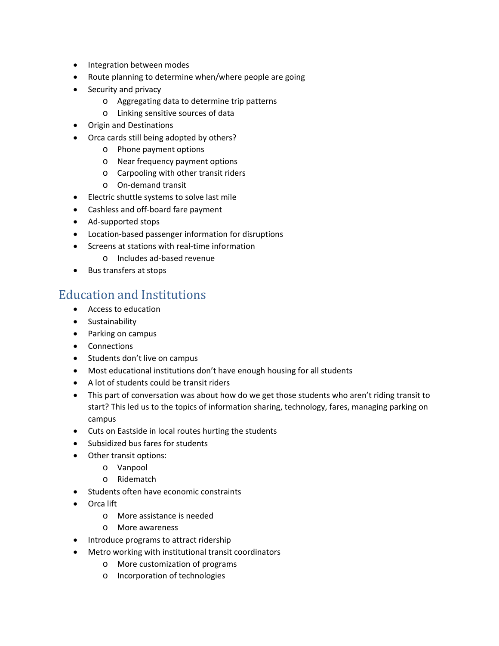- Integration between modes
- Route planning to determine when/where people are going
- Security and privacy
	- o Aggregating data to determine trip patterns
	- o Linking sensitive sources of data
- Origin and Destinations
- Orca cards still being adopted by others?
	- o Phone payment options
	- o Near frequency payment options
	- o Carpooling with other transit riders
	- o On‐demand transit
- Electric shuttle systems to solve last mile
- Cashless and off-board fare payment
- Ad-supported stops
- Location-based passenger information for disruptions
- Screens at stations with real-time information
	- o Includes ad‐based revenue
- Bus transfers at stops

## Education and Institutions

- Access to education
- **•** Sustainability
- Parking on campus
- Connections
- Students don't live on campus
- Most educational institutions don't have enough housing for all students
- A lot of students could be transit riders
- This part of conversation was about how do we get those students who aren't riding transit to start? This led us to the topics of information sharing, technology, fares, managing parking on campus
- Cuts on Eastside in local routes hurting the students
- Subsidized bus fares for students
- Other transit options:
	- o Vanpool
	- o Ridematch
- Students often have economic constraints
- Orca lift
	- o More assistance is needed
	- o More awareness
- Introduce programs to attract ridership
- Metro working with institutional transit coordinators
	- o More customization of programs
	- o Incorporation of technologies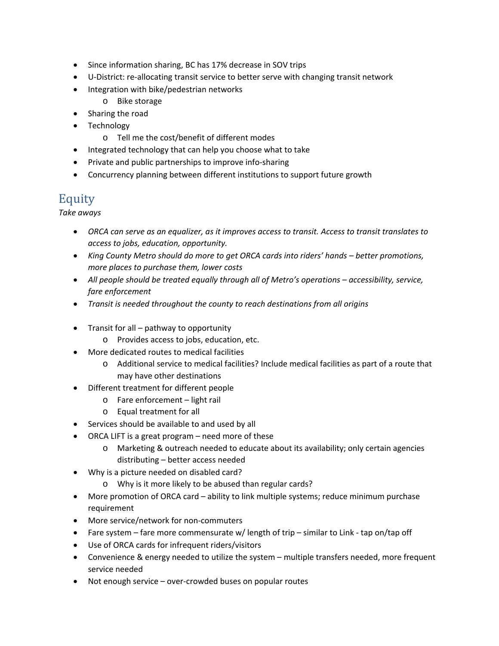- Since information sharing, BC has 17% decrease in SOV trips
- U-District: re-allocating transit service to better serve with changing transit network
- Integration with bike/pedestrian networks
	- o Bike storage
- Sharing the road
- Technology
	- o Tell me the cost/benefit of different modes
- Integrated technology that can help you choose what to take
- Private and public partnerships to improve info-sharing
- Concurrency planning between different institutions to support future growth

## Equity

*Take aways*

- *ORCA can serve as an equalizer, as it improves access to transit. Access to transit translates to access to jobs, education, opportunity.*
- *King County Metro should do more to get ORCA cards into riders' hands – better promotions, more places to purchase them, lower costs*
- *All people should be treated equally through all of Metro's operations – accessibility, service, fare enforcement*
- *Transit is needed throughout the county to reach destinations from all origins*
- $\bullet$  Transit for all pathway to opportunity
	- o Provides access to jobs, education, etc.
- More dedicated routes to medical facilities
	- o Additional service to medical facilities? Include medical facilities as part of a route that may have other destinations
- Different treatment for different people
	- o Fare enforcement light rail
	- o Equal treatment for all
- Services should be available to and used by all
- ORCA LIFT is a great program need more of these
	- o Marketing & outreach needed to educate about its availability; only certain agencies distributing – better access needed
- Why is a picture needed on disabled card?
	- o Why is it more likely to be abused than regular cards?
- More promotion of ORCA card ability to link multiple systems; reduce minimum purchase requirement
- More service/network for non-commuters
- Fare system fare more commensurate w/ length of trip similar to Link ‐ tap on/tap off
- Use of ORCA cards for infrequent riders/visitors
- Convenience & energy needed to utilize the system multiple transfers needed, more frequent service needed
- Not enough service over-crowded buses on popular routes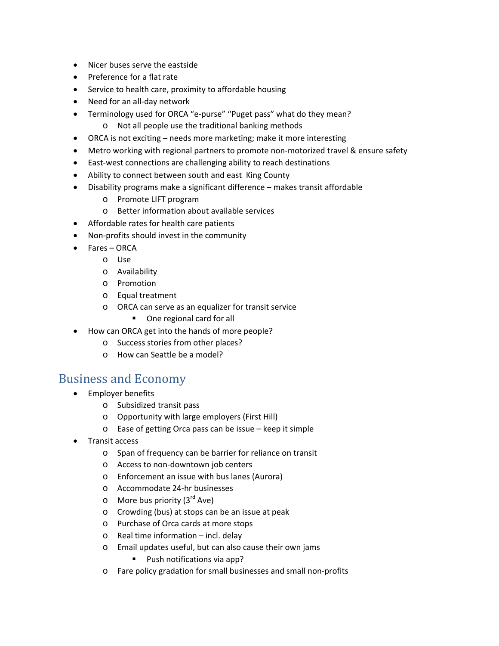- Nicer buses serve the eastside
- Preference for a flat rate
- Service to health care, proximity to affordable housing
- Need for an all-day network
- Terminology used for ORCA "e‐purse" "Puget pass" what do they mean?
	- o Not all people use the traditional banking methods
- ORCA is not exciting needs more marketing; make it more interesting
- Metro working with regional partners to promote non-motorized travel & ensure safety
- East-west connections are challenging ability to reach destinations
- Ability to connect between south and east King County
- Disability programs make a significant difference makes transit affordable
	- o Promote LIFT program
	- o Better information about available services
- Affordable rates for health care patients
- Non-profits should invest in the community
- Fares ORCA
	- o Use
	- o Availability
	- o Promotion
	- o Equal treatment
	- o ORCA can serve as an equalizer for transit service
		- One regional card for all
- How can ORCA get into the hands of more people?
	- o Success stories from other places?
	- o How can Seattle be a model?

### **Business and Economy**

- Employer benefits
	- o Subsidized transit pass
	- o Opportunity with large employers (First Hill)
	- o Ease of getting Orca pass can be issue keep it simple
- Transit access
	- o Span of frequency can be barrier for reliance on transit
	- o Access to non‐downtown job centers
	- o Enforcement an issue with bus lanes (Aurora)
	- o Accommodate 24‐hr businesses
	- $\circ$  More bus priority (3<sup>rd</sup> Ave)
	- o Crowding (bus) at stops can be an issue at peak
	- o Purchase of Orca cards at more stops
	- o Real time information incl. delay
	- o Email updates useful, but can also cause their own jams
		- **Push notifications via app?**
	- o Fare policy gradation for small businesses and small non‐profits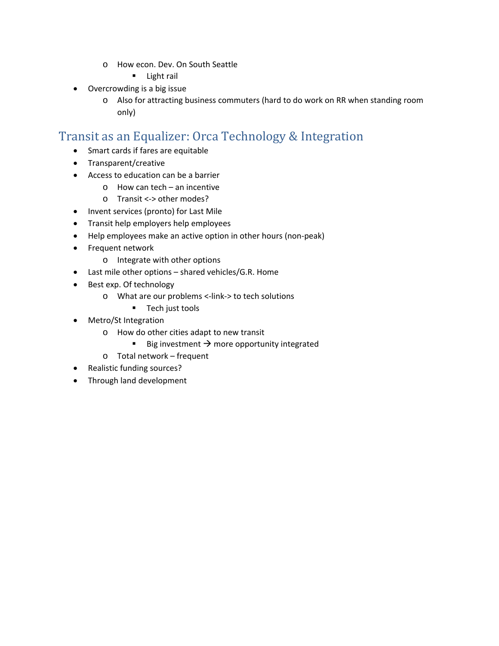- o How econ. Dev. On South Seattle
	- **Light rail**
- Overcrowding is a big issue
	- o Also for attracting business commuters (hard to do work on RR when standing room only)

## Transit as an Equalizer: Orca Technology & Integration

- Smart cards if fares are equitable
- Transparent/creative
- Access to education can be a barrier
	- o How can tech an incentive
	- o Transit <‐> other modes?
- Invent services (pronto) for Last Mile
- **•** Transit help employers help employees
- Help employees make an active option in other hours (non-peak)
- Frequent network
	- o Integrate with other options
- Last mile other options shared vehicles/G.R. Home
- Best exp. Of technology
	- o What are our problems <‐link‐> to tech solutions
		- **Tech just tools**
- Metro/St Integration
	- o How do other cities adapt to new transit
		- Big investment  $\rightarrow$  more opportunity integrated
	- o Total network frequent
- Realistic funding sources?
- Through land development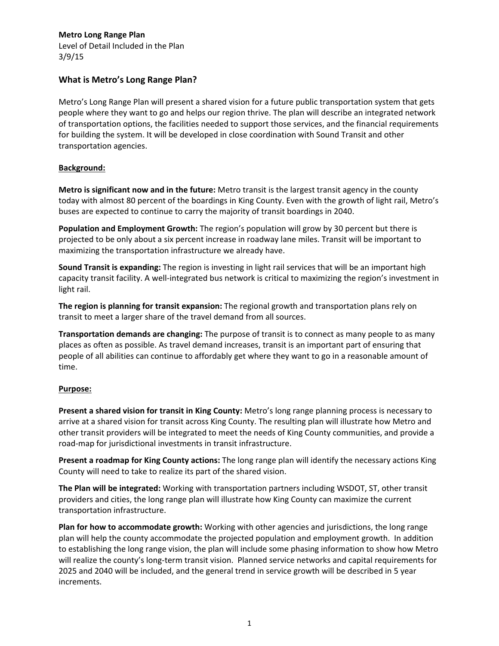Level of Detail Included in the Plan 3/9/15

### **What is Metro's Long Range Plan?**

Metro's Long Range Plan will present a shared vision for a future public transportation system that gets people where they want to go and helps our region thrive. The plan will describe an integrated network of transportation options, the facilities needed to support those services, and the financial requirements for building the system. It will be developed in close coordination with Sound Transit and other transportation agencies.

#### **Background:**

**Metro is significant now and in the future:** Metro transit is the largest transit agency in the county today with almost 80 percent of the boardings in King County. Even with the growth of light rail, Metro's buses are expected to continue to carry the majority of transit boardings in 2040.

**Population and Employment Growth:** The region's population will grow by 30 percent but there is projected to be only about a six percent increase in roadway lane miles. Transit will be important to maximizing the transportation infrastructure we already have.

**Sound Transit is expanding:** The region is investing in light rail services that will be an important high capacity transit facility. A well‐integrated bus network is critical to maximizing the region's investment in light rail.

**The region is planning for transit expansion:** The regional growth and transportation plans rely on transit to meet a larger share of the travel demand from all sources.

**Transportation demands are changing:** The purpose of transit is to connect as many people to as many places as often as possible. As travel demand increases, transit is an important part of ensuring that people of all abilities can continue to affordably get where they want to go in a reasonable amount of time.

#### **Purpose:**

**Present a shared vision for transit in King County:** Metro's long range planning process is necessary to arrive at a shared vision for transit across King County. The resulting plan will illustrate how Metro and other transit providers will be integrated to meet the needs of King County communities, and provide a road‐map for jurisdictional investments in transit infrastructure.

**Present a roadmap for King County actions:** The long range plan will identify the necessary actions King County will need to take to realize its part of the shared vision.

**The Plan will be integrated:** Working with transportation partners including WSDOT, ST, other transit providers and cities, the long range plan will illustrate how King County can maximize the current transportation infrastructure.

**Plan for how to accommodate growth:** Working with other agencies and jurisdictions, the long range plan will help the county accommodate the projected population and employment growth. In addition to establishing the long range vision, the plan will include some phasing information to show how Metro will realize the county's long-term transit vision. Planned service networks and capital requirements for 2025 and 2040 will be included, and the general trend in service growth will be described in 5 year increments.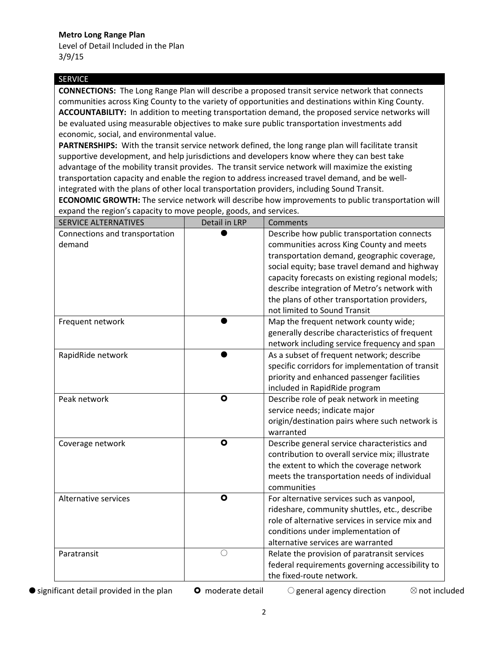Level of Detail Included in the Plan 3/9/15

#### SERVICE

**CONNECTIONS:** The Long Range Plan will describe a proposed transit service network that connects communities across King County to the variety of opportunities and destinations within King County. **ACCOUNTABILITY:** In addition to meeting transportation demand, the proposed service networks will be evaluated using measurable objectives to make sure public transportation investments add economic, social, and environmental value.

**PARTNERSHIPS:** With the transit service network defined, the long range plan will facilitate transit supportive development, and help jurisdictions and developers know where they can best take advantage of the mobility transit provides. The transit service network will maximize the existing transportation capacity and enable the region to address increased travel demand, and be well‐ integrated with the plans of other local transportation providers, including Sound Transit.

**ECONOMIC GROWTH:** The service network will describe how improvements to public transportation will expand the region's capacity to move people, goods, and services.

| <b>SERVICE ALTERNATIVES</b>              | Detail in LRP | Comments                                                                                         |
|------------------------------------------|---------------|--------------------------------------------------------------------------------------------------|
| Connections and transportation<br>demand |               | Describe how public transportation connects<br>communities across King County and meets          |
|                                          |               | transportation demand, geographic coverage,                                                      |
|                                          |               | social equity; base travel demand and highway                                                    |
|                                          |               | capacity forecasts on existing regional models;                                                  |
|                                          |               | describe integration of Metro's network with                                                     |
|                                          |               | the plans of other transportation providers,                                                     |
|                                          |               | not limited to Sound Transit                                                                     |
| Frequent network                         |               | Map the frequent network county wide;                                                            |
|                                          |               | generally describe characteristics of frequent                                                   |
|                                          |               | network including service frequency and span                                                     |
| RapidRide network                        |               | As a subset of frequent network; describe                                                        |
|                                          |               | specific corridors for implementation of transit                                                 |
|                                          |               | priority and enhanced passenger facilities                                                       |
|                                          |               | included in RapidRide program                                                                    |
| Peak network                             | $\bullet$     | Describe role of peak network in meeting                                                         |
|                                          |               | service needs; indicate major                                                                    |
|                                          |               | origin/destination pairs where such network is                                                   |
|                                          |               | warranted                                                                                        |
| Coverage network                         | $\bullet$     | Describe general service characteristics and                                                     |
|                                          |               | contribution to overall service mix; illustrate                                                  |
|                                          |               | the extent to which the coverage network                                                         |
|                                          |               | meets the transportation needs of individual                                                     |
|                                          |               | communities                                                                                      |
| Alternative services                     | $\bullet$     | For alternative services such as vanpool,                                                        |
|                                          |               | rideshare, community shuttles, etc., describe<br>role of alternative services in service mix and |
|                                          |               | conditions under implementation of                                                               |
|                                          |               | alternative services are warranted                                                               |
| Paratransit                              | $\bigcirc$    | Relate the provision of paratransit services                                                     |
|                                          |               | federal requirements governing accessibility to                                                  |
|                                          |               | the fixed-route network.                                                                         |
|                                          |               |                                                                                                  |

 $\bullet$  significant detail provided in the plan  $\bullet$  moderate detail  $\circ$  general agency direction  $\otimes$  not included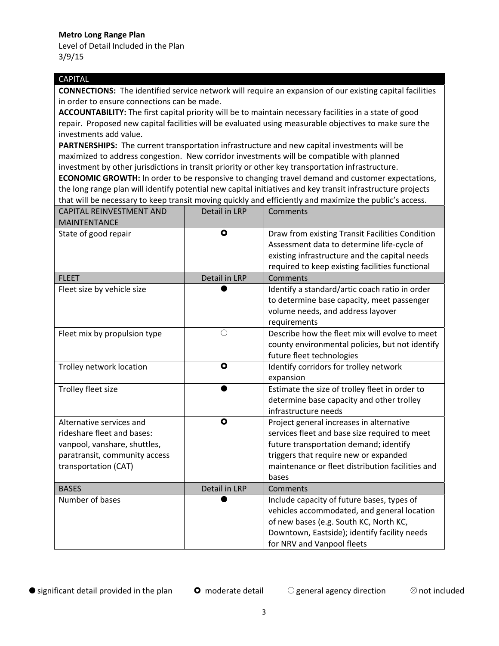Level of Detail Included in the Plan 3/9/15

#### CAPITAL

**CONNECTIONS:** The identified service network will require an expansion of our existing capital facilities in order to ensure connections can be made.

**ACCOUNTABILITY:** The first capital priority will be to maintain necessary facilities in a state of good repair. Proposed new capital facilities will be evaluated using measurable objectives to make sure the investments add value.

**PARTNERSHIPS:** The current transportation infrastructure and new capital investments will be maximized to address congestion. New corridor investments will be compatible with planned investment by other jurisdictions in transit priority or other key transportation infrastructure.

**ECONOMIC GROWTH:** In order to be responsive to changing travel demand and customer expectations, the long range plan will identify potential new capital initiatives and key transit infrastructure projects that will be necessary to keep transit moving quickly and efficiently and maximize the public's access.

| <b>CAPITAL REINVESTMENT AND</b><br><b>MAINTENTANCE</b>                                                                                          | <b>Detail in LRP</b> | Comments                                                                                                                                                                                                                                  |
|-------------------------------------------------------------------------------------------------------------------------------------------------|----------------------|-------------------------------------------------------------------------------------------------------------------------------------------------------------------------------------------------------------------------------------------|
| State of good repair                                                                                                                            | $\bullet$            | Draw from existing Transit Facilities Condition<br>Assessment data to determine life-cycle of<br>existing infrastructure and the capital needs<br>required to keep existing facilities functional                                         |
| <b>FLEET</b>                                                                                                                                    | Detail in LRP        | Comments                                                                                                                                                                                                                                  |
| Fleet size by vehicle size                                                                                                                      |                      | Identify a standard/artic coach ratio in order<br>to determine base capacity, meet passenger<br>volume needs, and address layover<br>requirements                                                                                         |
| Fleet mix by propulsion type                                                                                                                    | $\bigcirc$           | Describe how the fleet mix will evolve to meet<br>county environmental policies, but not identify<br>future fleet technologies                                                                                                            |
| Trolley network location                                                                                                                        | $\bullet$            | Identify corridors for trolley network<br>expansion                                                                                                                                                                                       |
| Trolley fleet size                                                                                                                              |                      | Estimate the size of trolley fleet in order to<br>determine base capacity and other trolley<br>infrastructure needs                                                                                                                       |
| Alternative services and<br>rideshare fleet and bases:<br>vanpool, vanshare, shuttles,<br>paratransit, community access<br>transportation (CAT) | $\bullet$            | Project general increases in alternative<br>services fleet and base size required to meet<br>future transportation demand; identify<br>triggers that require new or expanded<br>maintenance or fleet distribution facilities and<br>bases |
| <b>BASES</b>                                                                                                                                    | Detail in LRP        | Comments                                                                                                                                                                                                                                  |
| Number of bases                                                                                                                                 |                      | Include capacity of future bases, types of<br>vehicles accommodated, and general location<br>of new bases (e.g. South KC, North KC,<br>Downtown, Eastside); identify facility needs<br>for NRV and Vanpool fleets                         |

 $\bullet$  significant detail provided in the plan  $\bullet$  moderate detail  $\circ$  general agency direction  $\otimes$  not included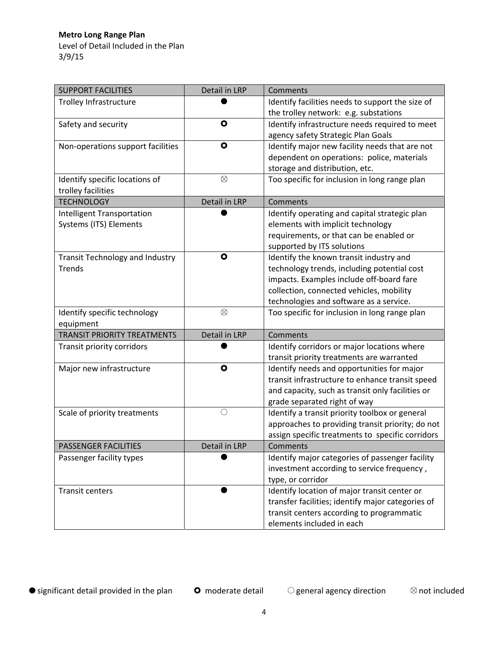Level of Detail Included in the Plan 3/9/15

| <b>SUPPORT FACILITIES</b>              | Detail in LRP | Comments                                          |
|----------------------------------------|---------------|---------------------------------------------------|
| Trolley Infrastructure                 |               | Identify facilities needs to support the size of  |
|                                        |               | the trolley network: e.g. substations             |
| Safety and security                    | $\bullet$     | Identify infrastructure needs required to meet    |
|                                        |               | agency safety Strategic Plan Goals                |
| Non-operations support facilities      | $\bullet$     | Identify major new facility needs that are not    |
|                                        |               | dependent on operations: police, materials        |
|                                        |               | storage and distribution, etc.                    |
| Identify specific locations of         | $\otimes$     | Too specific for inclusion in long range plan     |
| trolley facilities                     |               |                                                   |
| <b>TECHNOLOGY</b>                      | Detail in LRP | Comments                                          |
| Intelligent Transportation             |               | Identify operating and capital strategic plan     |
| Systems (ITS) Elements                 |               | elements with implicit technology                 |
|                                        |               | requirements, or that can be enabled or           |
|                                        |               | supported by ITS solutions                        |
| <b>Transit Technology and Industry</b> | $\bullet$     | Identify the known transit industry and           |
| <b>Trends</b>                          |               | technology trends, including potential cost       |
|                                        |               | impacts. Examples include off-board fare          |
|                                        |               | collection, connected vehicles, mobility          |
|                                        |               | technologies and software as a service.           |
| Identify specific technology           | $\otimes$     | Too specific for inclusion in long range plan     |
| equipment                              |               |                                                   |
| <b>TRANSIT PRIORITY TREATMENTS</b>     | Detail in LRP | Comments                                          |
| Transit priority corridors             |               | Identify corridors or major locations where       |
|                                        |               | transit priority treatments are warranted         |
| Major new infrastructure               | $\bullet$     | Identify needs and opportunities for major        |
|                                        |               | transit infrastructure to enhance transit speed   |
|                                        |               | and capacity, such as transit only facilities or  |
|                                        |               | grade separated right of way                      |
| Scale of priority treatments           | $\bigcirc$    | Identify a transit priority toolbox or general    |
|                                        |               | approaches to providing transit priority; do not  |
|                                        |               | assign specific treatments to specific corridors  |
| <b>PASSENGER FACILITIES</b>            | Detail in LRP | Comments                                          |
| Passenger facility types               |               | Identify major categories of passenger facility   |
|                                        |               | investment according to service frequency,        |
|                                        |               | type, or corridor                                 |
| <b>Transit centers</b>                 |               | Identify location of major transit center or      |
|                                        |               | transfer facilities; identify major categories of |
|                                        |               | transit centers according to programmatic         |
|                                        |               | elements included in each                         |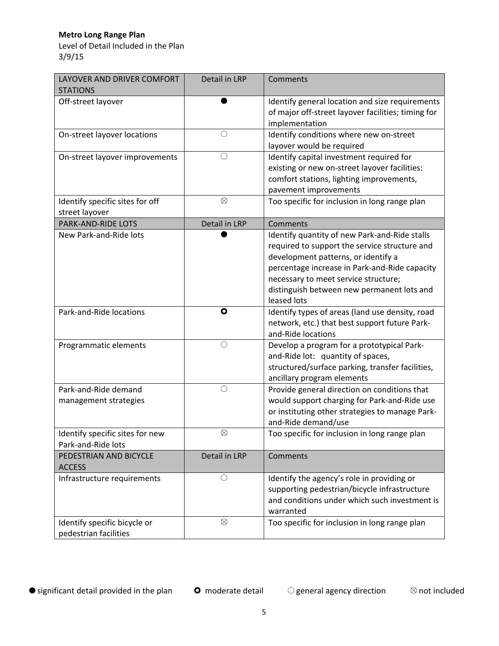Level of Detail Included in the Plan 3/9/15

| LAYOVER AND DRIVER COMFORT<br><b>STATIONS</b>         | Detail in LRP | Comments                                                                                                                                                                                                                                                                                    |
|-------------------------------------------------------|---------------|---------------------------------------------------------------------------------------------------------------------------------------------------------------------------------------------------------------------------------------------------------------------------------------------|
| Off-street layover                                    |               | Identify general location and size requirements<br>of major off-street layover facilities; timing for<br>implementation                                                                                                                                                                     |
| On-street layover locations                           | $\bigcirc$    | Identify conditions where new on-street<br>layover would be required                                                                                                                                                                                                                        |
| On-street layover improvements                        | $\bigcirc$    | Identify capital investment required for<br>existing or new on-street layover facilities:<br>comfort stations, lighting improvements,<br>pavement improvements                                                                                                                              |
| Identify specific sites for off<br>street layover     | $\otimes$     | Too specific for inclusion in long range plan                                                                                                                                                                                                                                               |
| PARK-AND-RIDE LOTS                                    | Detail in LRP | Comments                                                                                                                                                                                                                                                                                    |
| New Park-and-Ride lots                                |               | Identify quantity of new Park-and-Ride stalls<br>required to support the service structure and<br>development patterns, or identify a<br>percentage increase in Park-and-Ride capacity<br>necessary to meet service structure;<br>distinguish between new permanent lots and<br>leased lots |
| Park-and-Ride locations                               | $\bullet$     | Identify types of areas (land use density, road<br>network, etc.) that best support future Park-<br>and-Ride locations                                                                                                                                                                      |
| Programmatic elements                                 | $\bigcirc$    | Develop a program for a prototypical Park-<br>and-Ride lot: quantity of spaces,<br>structured/surface parking, transfer facilities,<br>ancillary program elements                                                                                                                           |
| Park-and-Ride demand<br>management strategies         | $\bigcirc$    | Provide general direction on conditions that<br>would support charging for Park-and-Ride use<br>or instituting other strategies to manage Park-<br>and-Ride demand/use                                                                                                                      |
| Identify specific sites for new<br>Park-and-Ride lots | $\otimes$     | Too specific for inclusion in long range plan                                                                                                                                                                                                                                               |
| PEDESTRIAN AND BICYCLE<br><b>ACCESS</b>               | Detail in LRP | Comments                                                                                                                                                                                                                                                                                    |
| Infrastructure requirements                           | $\bigcirc$    | Identify the agency's role in providing or<br>supporting pedestrian/bicycle infrastructure<br>and conditions under which such investment is<br>warranted                                                                                                                                    |
| Identify specific bicycle or<br>pedestrian facilities | $\otimes$     | Too specific for inclusion in long range plan                                                                                                                                                                                                                                               |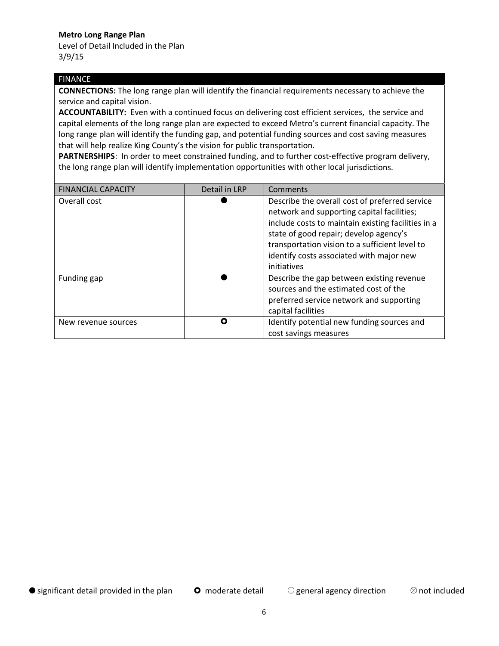Level of Detail Included in the Plan 3/9/15

#### FINANCE

**CONNECTIONS:** The long range plan will identify the financial requirements necessary to achieve the service and capital vision.

**ACCOUNTABILITY:** Even with a continued focus on delivering cost efficient services, the service and capital elements of the long range plan are expected to exceed Metro's current financial capacity. The long range plan will identify the funding gap, and potential funding sources and cost saving measures that will help realize King County's the vision for public transportation.

PARTNERSHIPS: In order to meet constrained funding, and to further cost-effective program delivery, the long range plan will identify implementation opportunities with other local jurisdictions.

| <b>FINANCIAL CAPACITY</b> | Detail in LRP | Comments                                                                                                                                                                                                                                                                                                  |
|---------------------------|---------------|-----------------------------------------------------------------------------------------------------------------------------------------------------------------------------------------------------------------------------------------------------------------------------------------------------------|
| Overall cost              |               | Describe the overall cost of preferred service<br>network and supporting capital facilities;<br>include costs to maintain existing facilities in a<br>state of good repair; develop agency's<br>transportation vision to a sufficient level to<br>identify costs associated with major new<br>initiatives |
| Funding gap               |               | Describe the gap between existing revenue<br>sources and the estimated cost of the<br>preferred service network and supporting<br>capital facilities                                                                                                                                                      |
| New revenue sources       | O             | Identify potential new funding sources and<br>cost savings measures                                                                                                                                                                                                                                       |

 $\bullet$  significant detail provided in the plan  $\bullet$  moderate detail  $\bullet$  general agency direction  $\bullet$  not included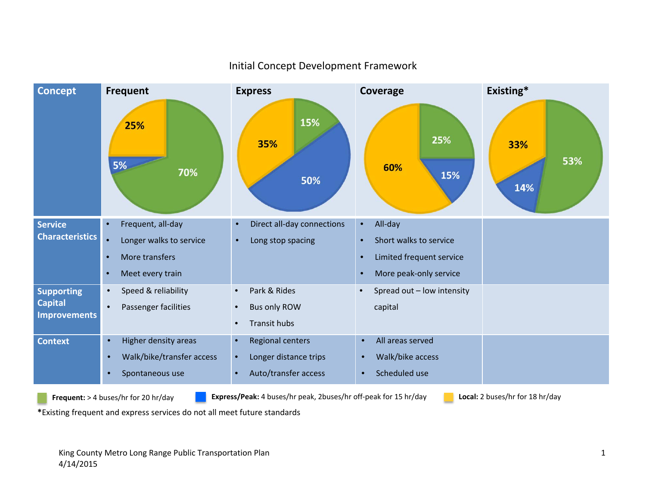

### Initial Concept Development Framework

**Frequent:** <sup>&</sup>gt; <sup>4</sup> buses/hr for <sup>20</sup> hr/day **Express/Peak:** <sup>4</sup> buses/hr peak, 2buses/hr off‐peak for <sup>15</sup> hr/day **Local:** <sup>2</sup> buses/hr for <sup>18</sup> hr/day

**\***Existing frequent and express services do not all meet future standards

King County Metro Long Range Public Transportation Plan 1 4/14/2015